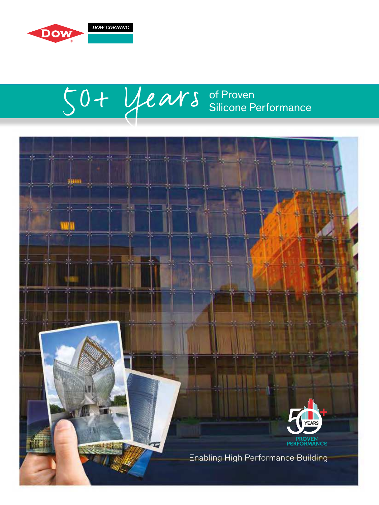

# $50+$  years of Proven Silicone Performance

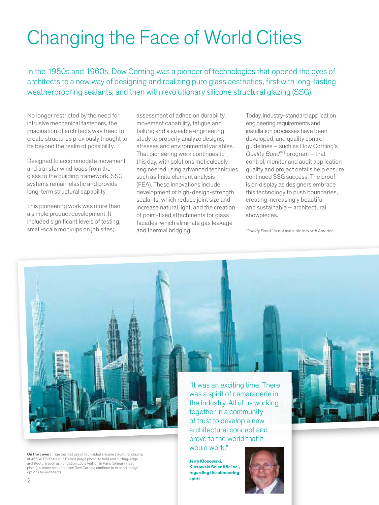# Changing the Face of World Cities

In the 1950s and 1960s, Dow Corning was a pioneer of technologies that opened the eyes of architects to a new way of designing and realizing pure glass aesthetics, first with long-lasting weatherproofing sealants, and then with revolutionary silicone structural glazing (SSG).

No longer restricted by the need for intrusive mechanical fasteners, the imagination of architects was freed to create structures previously thought to be beyond the realm of possibility.

Designed to accommodate movement and transfer wind loads from the glass to the building framework, SSG systems remain elastic and provide long-term structural capability.

This pioneering work was more than a simple product development. It included significant levels of testing; small-scale mockups on job sites;

assessment of adhesion durability, movement capability, fatigue and failure; and a sizeable engineering study to properly analyze designs, stresses and environmental variables. That pioneering work continues to this day, with solutions meticulously engineered using advanced techniques such as finite element analysis (FEA). These innovations include development of high-design-strength sealants, which reduce joint size and increase natural light, and the creation of point-fixed attachments for glass facades, which eliminate gas leakage and thermal bridging.

Today, industry-standard application engineering requirements and installation processes have been developed, and quality control guidelines – such as Dow Corning's Quality Bond<sup>™1</sup> program – that control, monitor and audit application quality and project details help ensure continued SSG success. The proof is on display as designers embrace this technology to push boundaries, creating increasingly beautiful – and sustainable – architectural showpieces.

<sup>1</sup>Quality Bond™ is not available in North America.



**On the cover:** From the first use of four-sided silicone structural glazing at 455 W. Fort Street in Detroit (large photo) to bold and cutting-edge architecture such as Fondation Louis Vuitton in Paris (primary inset photo), silicone sealants from Dow Corning continue to expand design options for architects.

"It was an exciting time. There was a spirit of camaraderie in the industry. All of us working together in a community of trust to develop a new architectural concept and prove to the world that it would work."

**Jerry Klosowski, Klosowski Scientific Inc., regarding the pioneering spirit**

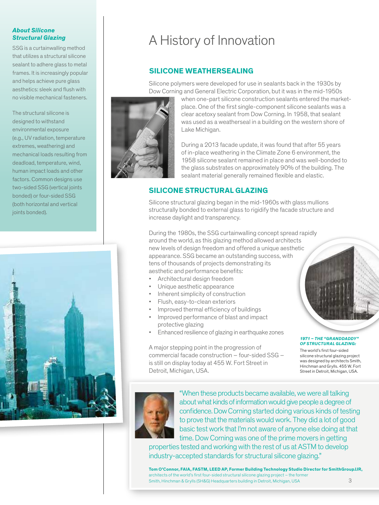### **About Silicone Structural Glazing**

SSG is a curtainwalling method that utilizes a structural silicone sealant to adhere glass to metal frames. It is increasingly popular and helps achieve pure glass aesthetics: sleek and flush with no visible mechanical fasteners.

The structural silicone is designed to withstand environmental exposure (e.g., UV radiation, temperature extremes, weathering) and mechanical loads resulting from deadload, temperature, wind, human impact loads and other factors. Common designs use two-sided SSG (vertical joints bonded) or four-sided SSG (both horizontal and vertical ioints bonded).



# A History of Innovation

# **SILICONE WEATHERSEALING**

Silicone polymers were developed for use in sealants back in the 1930s by Dow Corning and General Electric Corporation, but it was in the mid-1950s



when one-part silicone construction sealants entered the marketplace. One of the first single-component silicone sealants was a clear acetoxy sealant from Dow Corning. In 1958, that sealant was used as a weatherseal in a building on the western shore of Lake Michigan.

During a 2013 facade update, it was found that after 55 years of in-place weathering in the Climate Zone 6 environment, the 1958 silicone sealant remained in place and was well-bonded to the glass substrates on approximately 90% of the building. The sealant material generally remained flexible and elastic.

# **SILICONE STRUCTURAL GLAZING**

Silicone structural glazing began in the mid-1960s with glass mullions structurally bonded to external glass to rigidify the facade structure and increase daylight and transparency.

During the 1980s, the SSG curtainwalling concept spread rapidly around the world, as this glazing method allowed architects new levels of design freedom and offered a unique aesthetic appearance. SSG became an outstanding success, with tens of thousands of projects demonstrating its aesthetic and performance benefits:

- Architectural design freedom
- Unique aesthetic appearance
- Inherent simplicity of construction
- Flush, easy-to-clean exteriors
- Improved thermal efficiency of buildings
- Improved performance of blast and impact protective glazing
- Enhanced resilience of glazing in earthquake zones

A major stepping point in the progression of commercial facade construction – four-sided SSG – is still on display today at 455 W. Fort Street in Detroit, Michigan, USA.



### **1971 – THE "GRANDDADDY" OF STRUCTURAL GLAZING:**

The world's first four-sided silicone structural glazing project was designed by architects Smith, Hinchman and Grylls. 455 W. Fort Street in Detroit, Michigan, USA.



"When these products became available, we were all talking about what kinds of information would give people a degree of confidence. Dow Corning started doing various kinds of testing to prove that the materials would work. They did a lot of good basic test work that I'm not aware of anyone else doing at that time. Dow Corning was one of the prime movers in getting

properties tested and working with the rest of us at ASTM to develop industry-accepted standards for structural silicone glazing."

**Tom O'Connor, FAIA, FASTM, LEED AP, Former Building Technology Studio Director for SmithGroupJJR,**  architects of the world's first four-sided structural silicone glazing project – the former Smith, Hinchman & Grylls (SH&G) Headquarters building in Detroit, Michigan, USA 3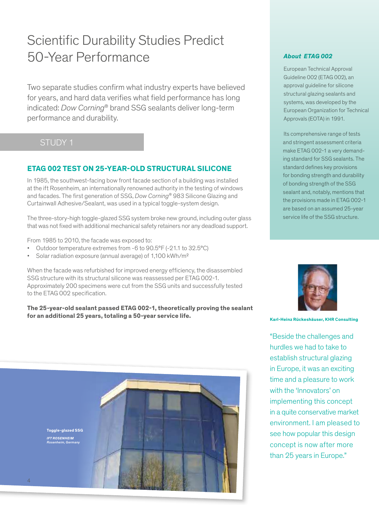# Scientific Durability Studies Predict 50-Year Performance

Two separate studies confirm what industry experts have believed for years, and hard data verifies what field performance has long indicated: Dow Corning® brand SSG sealants deliver long-term performance and durability.

# STUDY 1

# **ETAG 002 TEST ON 25-YEAR-OLD STRUCTURAL SILICONE**

In 1985, the southwest-facing bow front facade section of a building was installed at the ift Rosenheim, an internationally renowned authority in the testing of windows and facades. The first generation of SSG, Dow Corning® 983 Silicone Glazing and Curtainwall Adhesive/Sealant, was used in a typical toggle-system design.

The three-story-high toggle-glazed SSG system broke new ground, including outer glass that was not fixed with additional mechanical safety retainers nor any deadload support.

From 1985 to 2010, the facade was exposed to:

- Outdoor temperature extremes from -6 to 90.5°F (-21.1 to 32.5°C)
- Solar radiation exposure (annual average) of 1,100 kWh/m²

When the facade was refurbished for improved energy efficiency, the disassembled SSG structure with its structural silicone was reassessed per ETAG 002-1. Approximately 200 specimens were cut from the SSG units and successfully tested to the ETAG 002 specification.

**The 25-year-old sealant passed ETAG 002-1, theoretically proving the sealant** for an additional 25 years, totaling a 50-year service life.<br>
Karl-Heinz Rückeshäuser, KHR Consulting



## **About ETAG 002**

European Technical Approval Guideline 002 (ETAG 002), an approval guideline for silicone structural glazing sealants and systems, was developed by the European Organization for Technical Approvals (EOTA) in 1991.

Its comprehensive range of tests and stringent assessment criteria make ETAG 002-1 a very demanding standard for SSG sealants. The standard defines key provisions for bonding strength and durability of bonding strength of the SSG sealant and, notably, mentions that the provisions made in ETAG 002-1 are based on an assumed 25-year service life of the SSG structure.



"Beside the challenges and hurdles we had to take to establish structural glazing in Europe, it was an exciting time and a pleasure to work with the 'Innovators' on implementing this concept in a quite conservative market environment. I am pleased to see how popular this design concept is now after more than 25 years in Europe."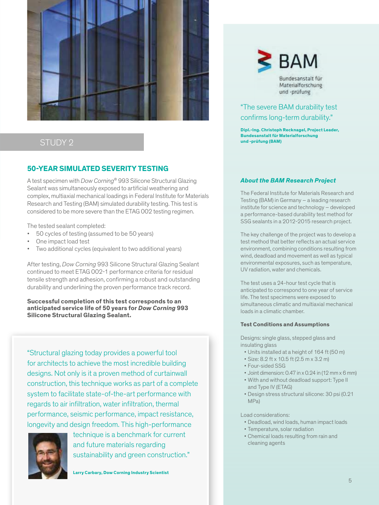

# STUDY 2

# **50-YEAR SIMULATED SEVERITY TESTING**

A test specimen with Dow Corning® 993 Silicone Structural Glazing Sealant was simultaneously exposed to artificial weathering and complex, multiaxial mechanical loadings in Federal Institute for Materials Research and Testing (BAM) simulated durability testing. This test is considered to be more severe than the ETAG 002 testing regimen.

The tested sealant completed:

- 50 cycles of testing (assumed to be 50 years)
- One impact load test
- Two additional cycles (equivalent to two additional years)

After testing, Dow Corning 993 Silicone Structural Glazing Sealant continued to meet ETAG 002-1 performance criteria for residual tensile strength and adhesion, confirming a robust and outstanding durability and underlining the proven performance track record.

**Successful completion of this test corresponds to an anticipated service life of 50 years for Dow Corning 993 Silicone Structural Glazing Sealant.**

"Structural glazing today provides a powerful tool for architects to achieve the most incredible building designs. Not only is it a proven method of curtainwall construction, this technique works as part of a complete system to facilitate state-of-the-art performance with regards to air infiltration, water infiltration, thermal performance, seismic performance, impact resistance, longevity and design freedom. This high-performance



technique is a benchmark for current and future materials regarding sustainability and green construction."

**Larry Carbary, Dow Corning Industry Scientist**



Bundesanstalt für Materialforschung und -prüfung

# "The severe BAM durability test confirms long-term durability."

**Dipl.-Ing. Christoph Recknagel, Project Leader, Bundesanstalt für Materialforschung und -prüfung (BAM)**

## **About the BAM Research Project**

The Federal Institute for Materials Research and Testing (BAM) in Germany – a leading research institute for science and technology – developed a performance-based durability test method for SSG sealants in a 2012-2015 research project.

The key challenge of the project was to develop a test method that better reflects an actual service environment, combining conditions resulting from wind, deadload and movement as well as typical environmental exposures, such as temperature, UV radiation, water and chemicals.

The test uses a 24-hour test cycle that is anticipated to correspond to one year of service life. The test specimens were exposed to simultaneous climatic and multiaxial mechanical loads in a climatic chamber.

### **Test Conditions and Assumptions**

Designs: single glass, stepped glass and insulating glass

- Units installed at a height of 164 ft (50 m)
- Size: 8.2 ft x 10.5 ft (2.5 m x 3.2 m)
- Four-sided SSG
- Joint dimension: 0.47 in x 0.24 in (12 mm x 6 mm)
- With and without deadload support: Type II and Type IV (ETAG)
- Design stress structural silicone: 30 psi (0.21 MPa)

Load considerations:

- Deadload, wind loads, human impact loads
- Temperature, solar radiation
- Chemical loads resulting from rain and cleaning agents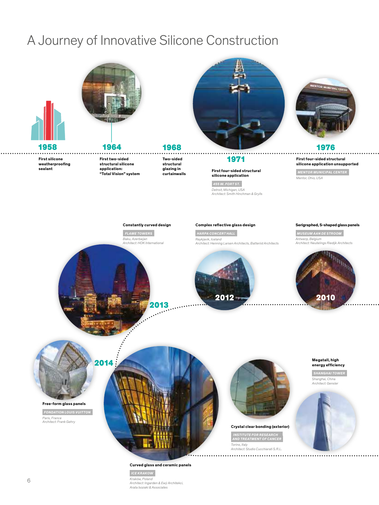# A Journey of Innovative Silicone Construction



**First two-sided structural silicone application: "Total Vision" system**





## 1971

### **First four-sided structural silicone application**

 **455 W. FORT ST.**  Detroit, Michigan, USA Architect: Smith Hinchman & Grylls



**First four-sided structural silicone application unsupported**

 **MENTOR MUNICIPAL CENTER**  Mentor, Ohio, USA

### **Constantly curved design**

 **FLAME TOWERS**  Baku, Azerbaijan Architect: HOK International

### **Complex reflective glass design**

 **HARPA CONCERT HALL**  Reykjavik, Iceland Architect: Henning Larsen Architects, Batteriid Architects



### **Serigraphed, S-shaped glass panels**

 **MUSEUM AAN DE STROOM**  Antwerp, Belgium<br>Architect: Neutelings Riedijk Architects





**First silicone weatherproofing sealant** 

**Free-form glass panels**

 **FONDATION LOUIS VUITTON**  Paris, France Architect: Frank Gehry



2013

### **Curved glass and ceramic panels**

 **ICE KRAKOW**  Kraków, Poland Architect: Ingarden & Ewý Architekci, Arata Isozaki & Associates



## **Crystal clear bonding (exterior)**

 **INSTITUTE FOR RESEARCH AND TREATMENT OF CANCER**  Torino, Italy Architect: Studio Cucchiarati S.R.L.



**Megatall, high energy efficiency SHANGHAI TOWER**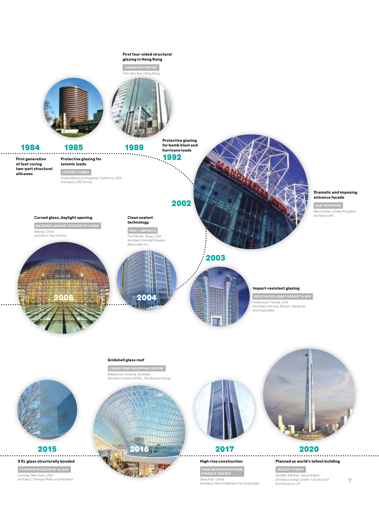

### **Gridshell glass roof**

 **CHADSTONE SHOPPING CENTRE**  Melbourne, Victoria, Australia Architect: CallisonRTKL, The Buchan Group





2017

# **High-rise construction**

 **PING AN INTERNATIONAL FINANCE CENTER**  Shenzhen, China Architect: Kohn Pedersen Fox Associates



### 2020 . . . . . . . . . .

**Planned as world's tallest building JEDDAH TOWER**  Jeddah, Makkah, Saudi Arabia Architect: Adrian Smith + Gordon Gill Architecture LLP



 **CORNING MUSEUM OF GLASS**  Corning, New York, USA Architect: Thomas Phifer and Partners

**XXL glass structurally bonded**

2015